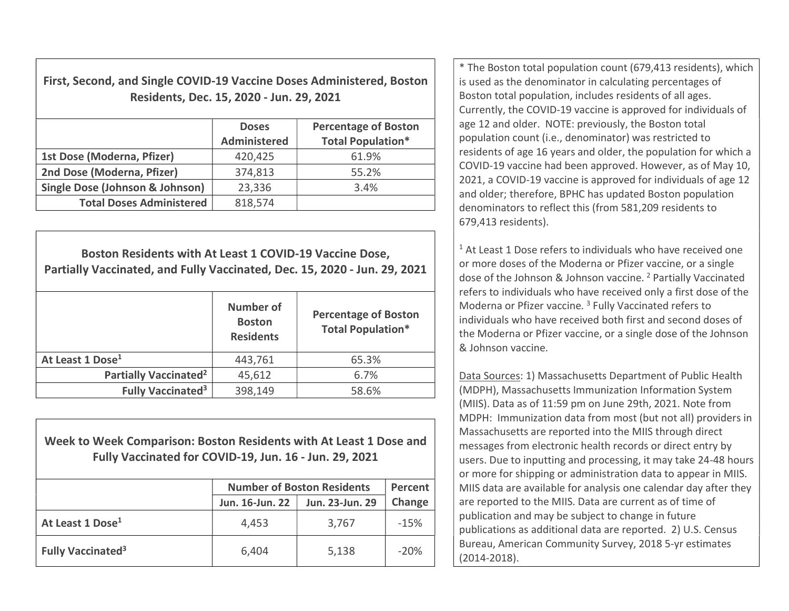First, Second, and Single COVID-19 Vaccine Doses Administered, Boston Residents, Dec. 15, 2020 - Jun. 29, 2021

|                                            | <b>Doses</b><br><b>Administered</b> | <b>Percentage of Boston</b><br><b>Total Population*</b> |
|--------------------------------------------|-------------------------------------|---------------------------------------------------------|
| 1st Dose (Moderna, Pfizer)                 | 420,425                             | 61.9%                                                   |
| 2nd Dose (Moderna, Pfizer)                 | 374,813                             | 55.2%                                                   |
| <b>Single Dose (Johnson &amp; Johnson)</b> | 23,336                              | 3.4%                                                    |
| <b>Total Doses Administered</b>            | 818,574                             |                                                         |

Boston Residents with At Least 1 COVID-19 Vaccine Dose, Partially Vaccinated, and Fully Vaccinated, Dec. 15, 2020 - Jun. 29, 2021 Number of Boston Residents Percentage of Boston Total Population\* At Least 1 Dose<sup>1</sup> 1443.761 65.3% Partially Vaccinated<sup>2</sup>  $45,612$  6.7% Fully Vaccinated<sup>3</sup> 398,149  $\vert$  58.6%

Week to Week Comparison: Boston Residents with At Least 1 Dose and Fully Vaccinated for COVID-19, Jun. 16 - Jun. 29, 2021

|                                     | <b>Number of Boston Residents</b> | Percent         |        |
|-------------------------------------|-----------------------------------|-----------------|--------|
|                                     | Jun. 16-Jun. 22                   | Jun. 23-Jun. 29 | Change |
| At Least 1 Dose <sup>1</sup>        | 4,453                             | 3,767           | $-15%$ |
| <b>Fully Vaccinated<sup>3</sup></b> | 6,404                             | 5,138           | $-20%$ |

\* The Boston total population count (679,413 residents), which is used as the denominator in calculating percentages of Boston total population, includes residents of all ages. Currently, the COVID-19 vaccine is approved for individuals of age 12 and older. NOTE: previously, the Boston total population count (i.e., denominator) was restricted to residents of age 16 years and older, the population for which a COVID-19 vaccine had been approved. However, as of May 10, 2021, a COVID-19 vaccine is approved for individuals of age 12 and older; therefore, BPHC has updated Boston population denominators to reflect this (from 581,209 residents to 679,413 residents).

 $1$  At Least 1 Dose refers to individuals who have received one or more doses of the Moderna or Pfizer vaccine, or a single dose of the Johnson & Johnson vaccine. <sup>2</sup> Partially Vaccinated refers to individuals who have received only a first dose of the Moderna or Pfizer vaccine.<sup>3</sup> Fully Vaccinated refers to individuals who have received both first and second doses of the Moderna or Pfizer vaccine, or a single dose of the Johnson & Johnson vaccine.

Data Sources: 1) Massachusetts Department of Public Health (MDPH), Massachusetts Immunization Information System (MIIS). Data as of 11:59 pm on June 29th, 2021. Note from MDPH: Immunization data from most (but not all) providers in Massachusetts are reported into the MIIS through direct messages from electronic health records or direct entry by users. Due to inputting and processing, it may take 24-48 hours or more for shipping or administration data to appear in MIIS. MIIS data are available for analysis one calendar day after they are reported to the MIIS. Data are current as of time of publication and may be subject to change in future publications as additional data are reported. 2) U.S. Census Bureau, American Community Survey, 2018 5-yr estimates (2014-2018).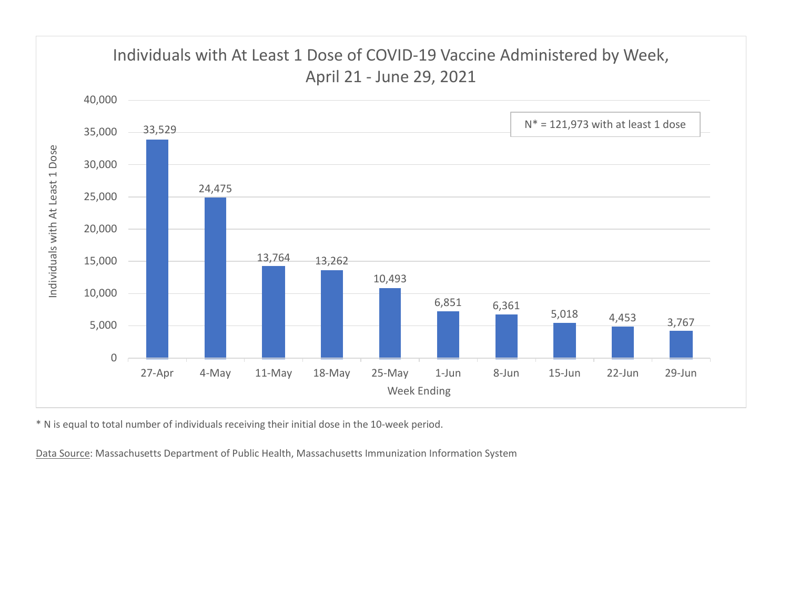

\* N is equal to total number of individuals receiving their initial dose in the 10-week period.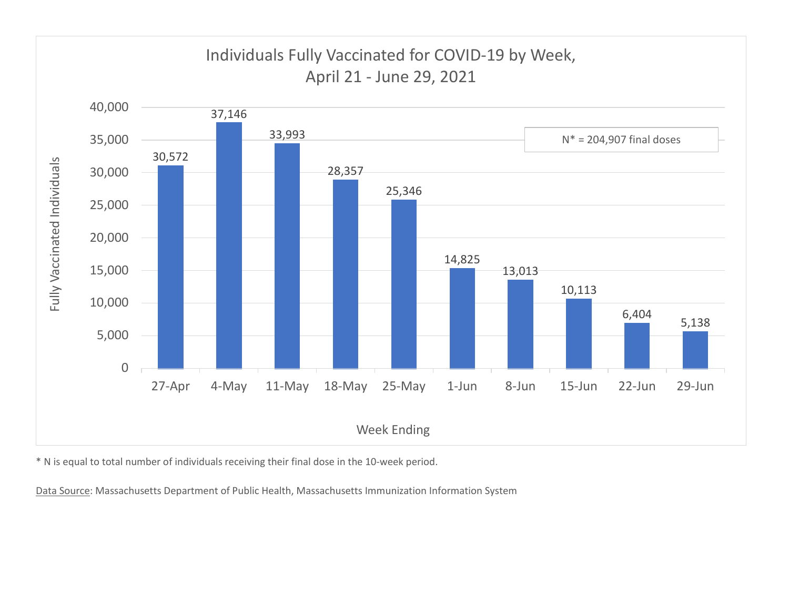

\* N is equal to total number of individuals receiving their final dose in the 10-week period.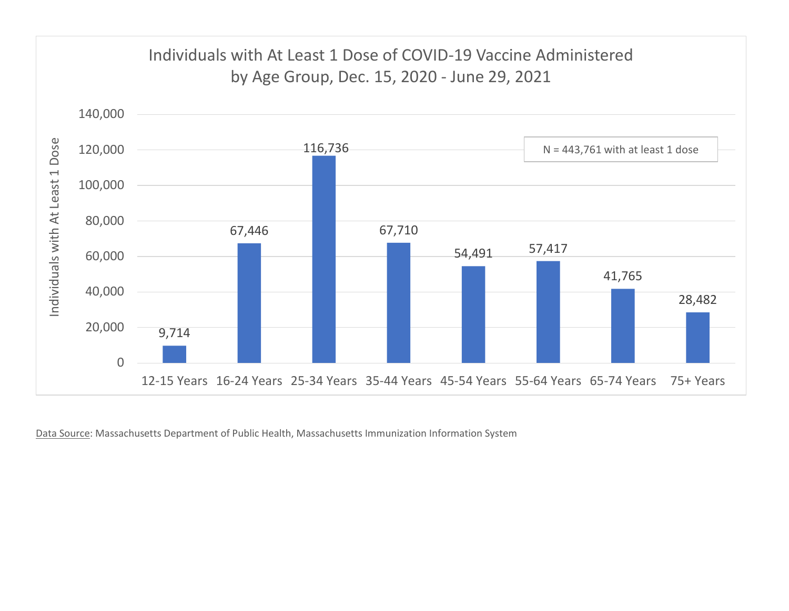

Data Source: Massachusetts Department of Public Health, Massachusetts Immunization Information System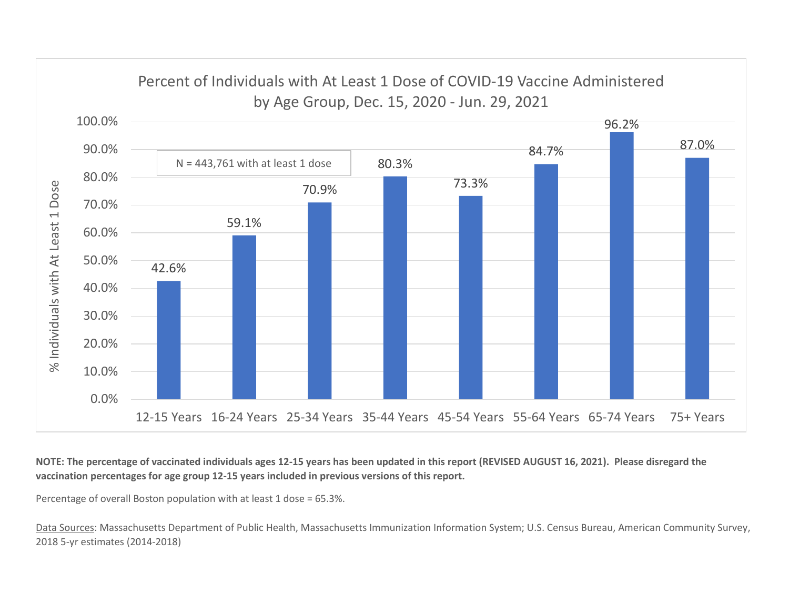

NOTE: The percentage of vaccinated individuals ages 12-15 years has been updated in this report (REVISED AUGUST 16, 2021). Please disregard the vaccination percentages for age group 12-15 years included in previous versions of this report.

Percentage of overall Boston population with at least 1 dose = 65.3%.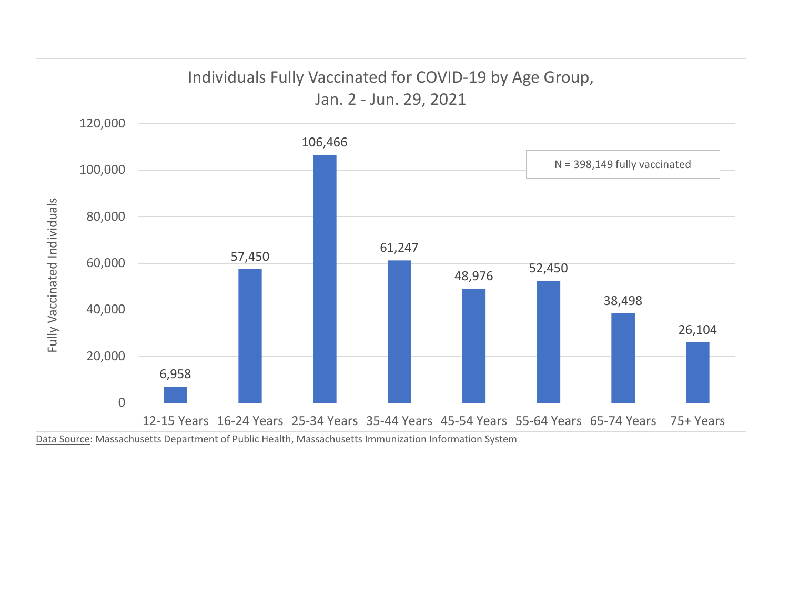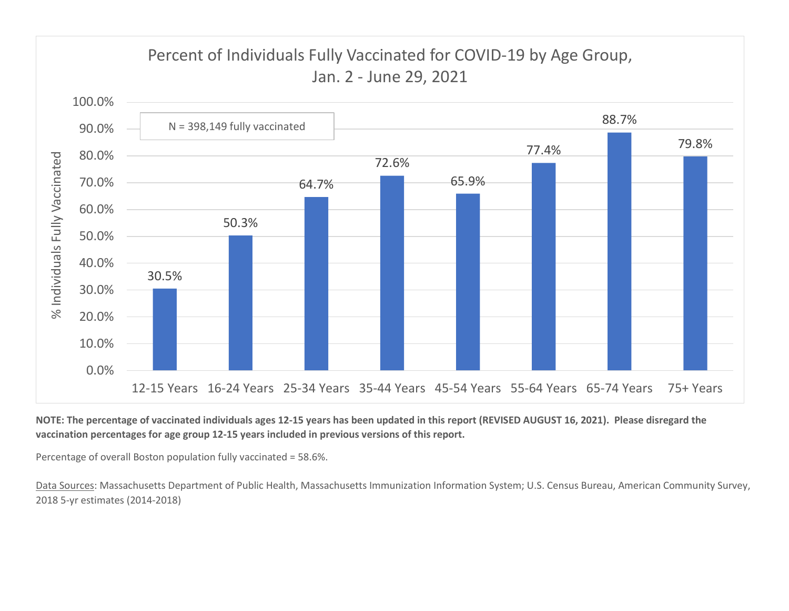

NOTE: The percentage of vaccinated individuals ages 12-15 years has been updated in this report (REVISED AUGUST 16, 2021). Please disregard the vaccination percentages for age group 12-15 years included in previous versions of this report.

Percentage of overall Boston population fully vaccinated = 58.6%.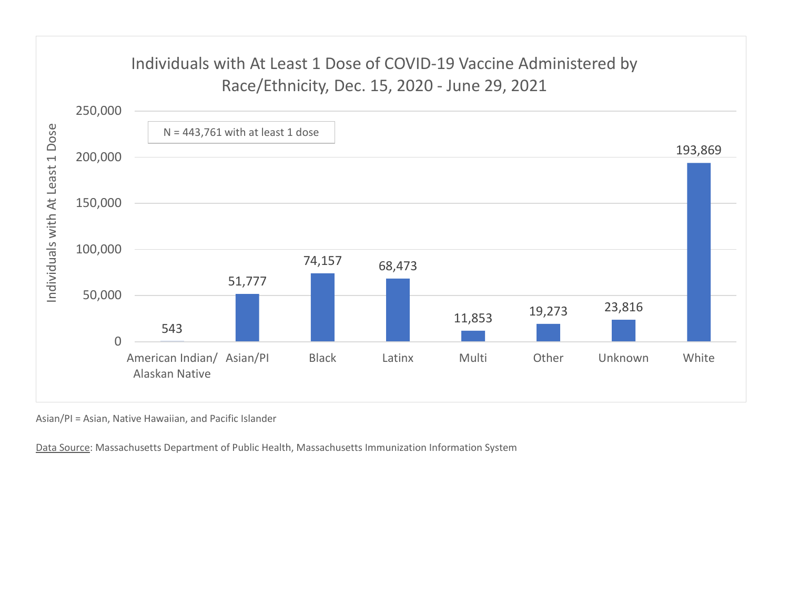

Asian/PI = Asian, Native Hawaiian, and Pacific Islander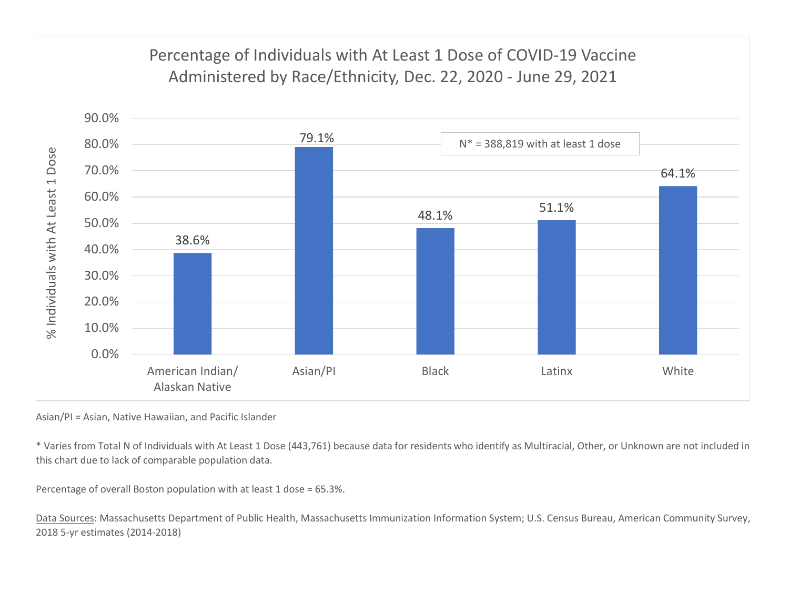

Asian/PI = Asian, Native Hawaiian, and Pacific Islander

\* Varies from Total N of Individuals with At Least 1 Dose (443,761) because data for residents who identify as Multiracial, Other, or Unknown are not included in this chart due to lack of comparable population data.

Percentage of overall Boston population with at least 1 dose = 65.3%.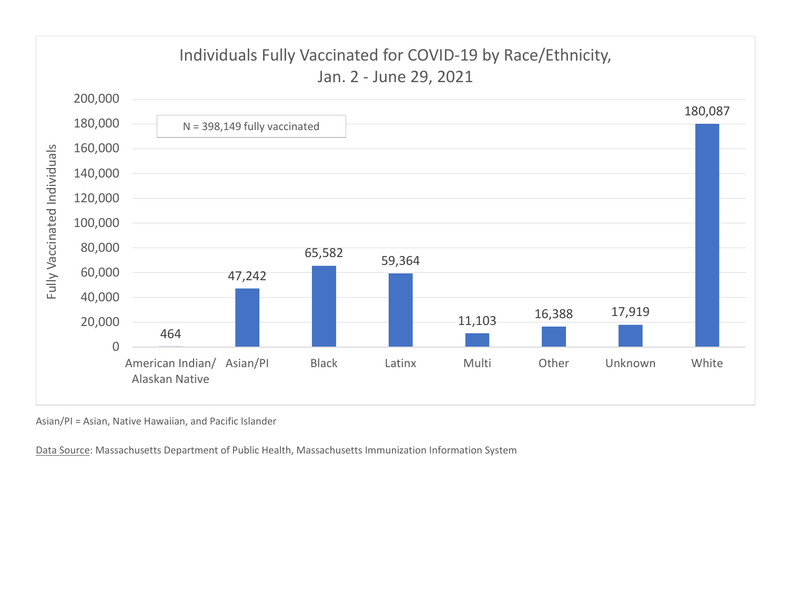

Asian/PI = Asian, Native Hawaiian, and Pacific Islander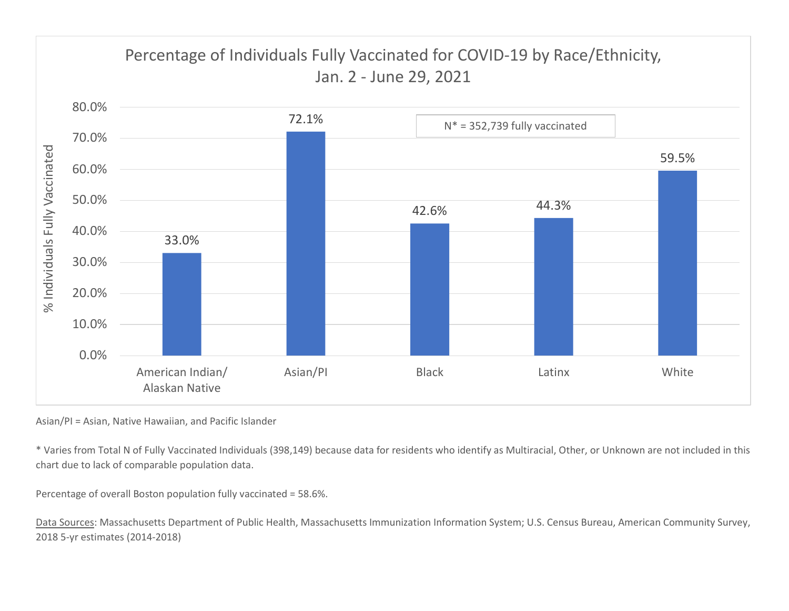

Asian/PI = Asian, Native Hawaiian, and Pacific Islander

\* Varies from Total N of Fully Vaccinated Individuals (398,149) because data for residents who identify as Multiracial, Other, or Unknown are not included in this chart due to lack of comparable population data.

Percentage of overall Boston population fully vaccinated = 58.6%.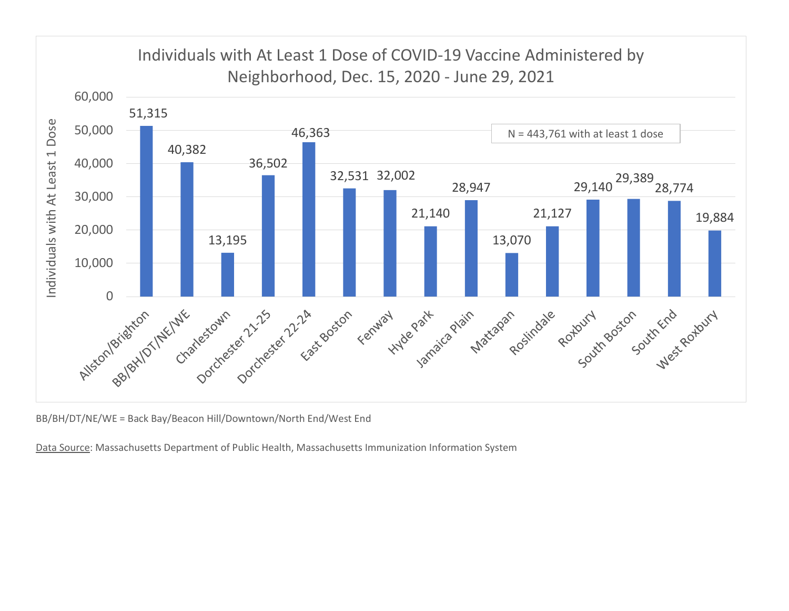

BB/BH/DT/NE/WE = Back Bay/Beacon Hill/Downtown/North End/West End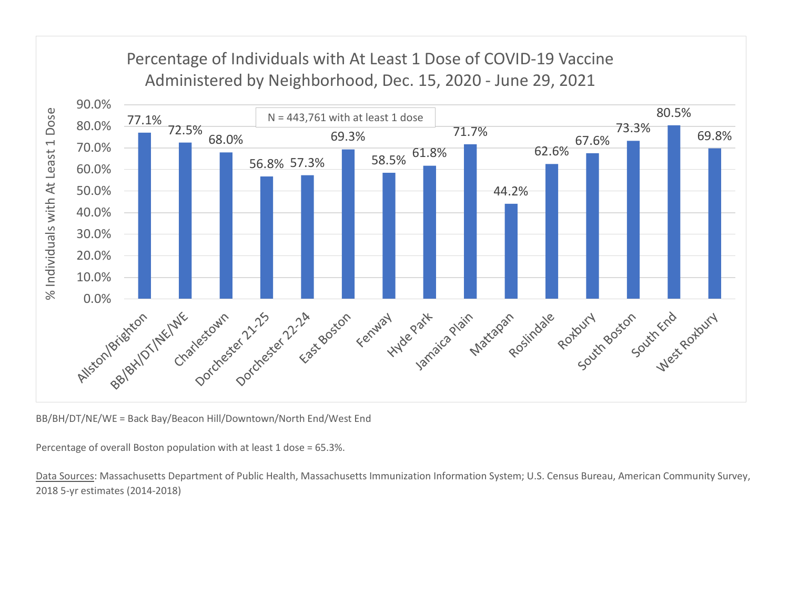

BB/BH/DT/NE/WE = Back Bay/Beacon Hill/Downtown/North End/West End

Percentage of overall Boston population with at least 1 dose = 65.3%.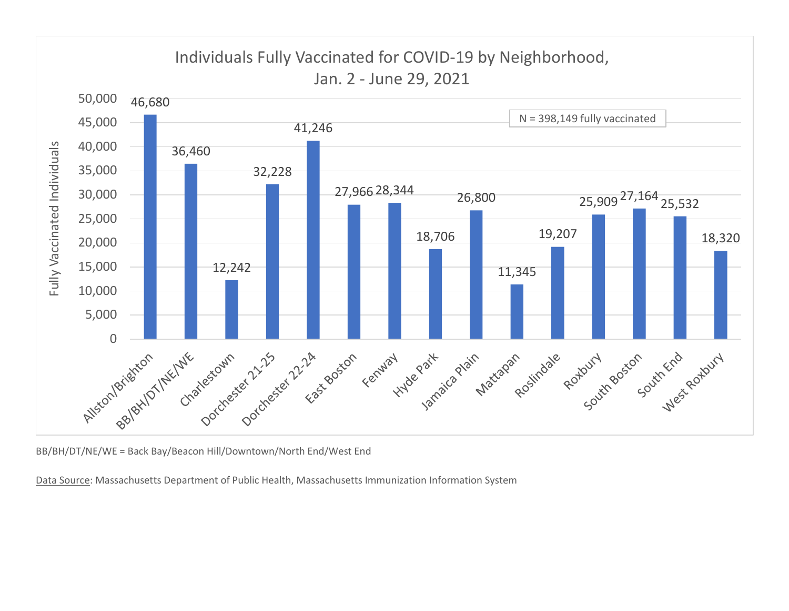

BB/BH/DT/NE/WE = Back Bay/Beacon Hill/Downtown/North End/West End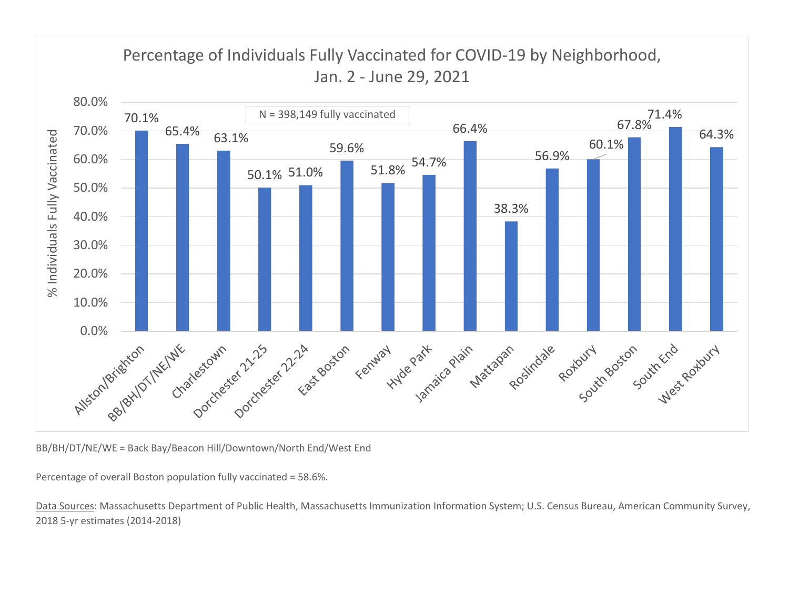

BB/BH/DT/NE/WE = Back Bay/Beacon Hill/Downtown/North End/West End

Percentage of overall Boston population fully vaccinated = 58.6%.